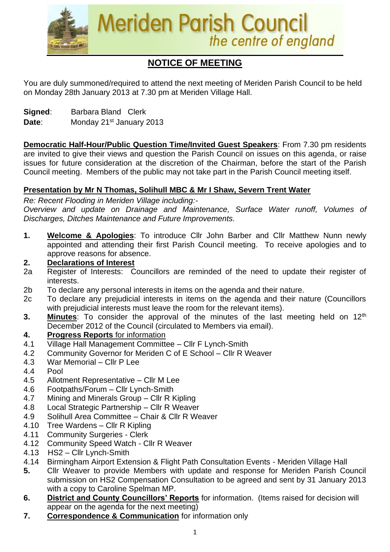

# **NOTICE OF MEETING**

You are duly summoned/required to attend the next meeting of Meriden Parish Council to be held on Monday 28th January 2013 at 7.30 pm at Meriden Village Hall.

**Signed**: Barbara Bland Clerk

Date: Monday 21<sup>st</sup> January 2013

**Democratic Half-Hour/Public Question Time/Invited Guest Speakers**: From 7.30 pm residents are invited to give their views and question the Parish Council on issues on this agenda, or raise issues for future consideration at the discretion of the Chairman, before the start of the Parish Council meeting. Members of the public may not take part in the Parish Council meeting itself.

#### **Presentation by Mr N Thomas, Solihull MBC & Mr I Shaw, Severn Trent Water**

*Re: Recent Flooding in Meriden Village including:- Overview and update on Drainage and Maintenance, Surface Water runoff, Volumes of Discharges, Ditches Maintenance and Future Improvements.*

**1. Welcome & Apologies**: To introduce Cllr John Barber and Cllr Matthew Nunn newly appointed and attending their first Parish Council meeting. To receive apologies and to approve reasons for absence.

#### **2. Declarations of Interest**

- 2a Register of Interests: Councillors are reminded of the need to update their register of interests.
- 2b To declare any personal interests in items on the agenda and their nature.
- 2c To declare any prejudicial interests in items on the agenda and their nature (Councillors with prejudicial interests must leave the room for the relevant items).
- **3.** Minutes: To consider the approval of the minutes of the last meeting held on 12<sup>th</sup> December 2012 of the Council (circulated to Members via email).

#### **4. Progress Reports** for information

- 4.1 Village Hall Management Committee Cllr F Lynch-Smith
- 4.2 Community Governor for Meriden C of E School Cllr R Weaver
- 4.3 War Memorial Cllr P Lee
- 4.4 Pool
- 4.5 Allotment Representative Cllr M Lee
- 4.6 Footpaths/Forum Cllr Lynch-Smith
- 4.7 Mining and Minerals Group Cllr R Kipling
- 4.8 Local Strategic Partnership Cllr R Weaver
- 4.9 Solihull Area Committee Chair & Cllr R Weaver
- 4.10 Tree Wardens Cllr R Kipling
- 4.11 Community Surgeries Clerk
- 4.12 Community Speed Watch Cllr R Weaver
- 4.13 HS2 Cllr Lynch-Smith
- 4.14 Birmingham Airport Extension & Flight Path Consultation Events Meriden Village Hall
- **5.** Cllr Weaver to provide Members with update and response for Meriden Parish Council submission on HS2 Compensation Consultation to be agreed and sent by 31 January 2013 with a copy to Caroline Spelman MP.
- **6. District and County Councillors' Reports** for information. (Items raised for decision will appear on the agenda for the next meeting)
- **7. Correspondence & Communication** for information only